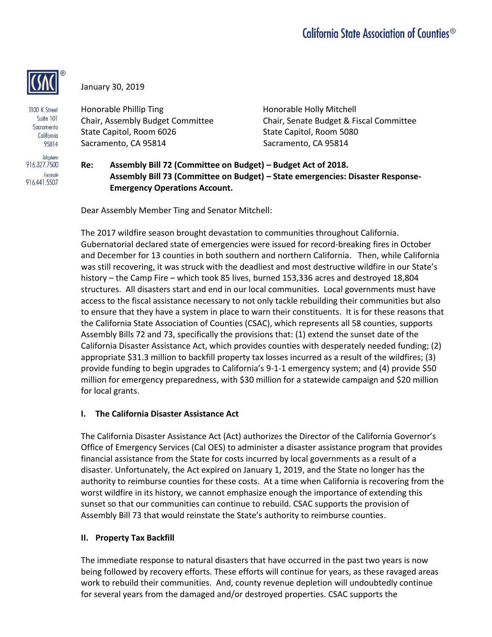

1100 K Street Suite 101 Sacramento California 95814 Telephone 916.327.7500 Facsimile 916.441.5507

January 30, 2019

Honorable Phillip Ting **Honorable Holly Mitchell** State Capitol, Room 6026 State Capitol, Room 5080 Sacramento, CA 95814 Sacramento, CA 95814

Chair, Assembly Budget Committee Chair, Senate Budget & Fiscal Committee

# **Re: Assembly Bill 72 (Committee on Budget) – Budget Act of 2018. Assembly Bill 73 (Committee on Budget) – State emergencies: Disaster Response-Emergency Operations Account.**

Dear Assembly Member Ting and Senator Mitchell:

The 2017 wildfire season brought devastation to communities throughout California. Gubernatorial declared state of emergencies were issued for record-breaking fires in October and December for 13 counties in both southern and northern California. Then, while California was still recovering, it was struck with the deadliest and most destructive wildfire in our State's history – the Camp Fire – which took 85 lives, burned 153,336 acres and destroyed 18,804 structures. All disasters start and end in our local communities. Local governments must have access to the fiscal assistance necessary to not only tackle rebuilding their communities but also to ensure that they have a system in place to warn their constituents. It is for these reasons that the California State Association of Counties (CSAC), which represents all 58 counties, supports Assembly Bills 72 and 73, specifically the provisions that: (1) extend the sunset date of the California Disaster Assistance Act, which provides counties with desperately needed funding; (2) appropriate \$31.3 million to backfill property tax losses incurred as a result of the wildfires; (3) provide funding to begin upgrades to California's 9-1-1 emergency system; and (4) provide \$50 million for emergency preparedness, with \$30 million for a statewide campaign and \$20 million for local grants.

# **I. The California Disaster Assistance Act**

The California Disaster Assistance Act (Act) authorizes the Director of the California Governor's Office of Emergency Services (Cal OES) to administer a disaster assistance program that provides financial assistance from the State for costs incurred by local governments as a result of a disaster. Unfortunately, the Act expired on January 1, 2019, and the State no longer has the authority to reimburse counties for these costs. At a time when California is recovering from the worst wildfire in its history, we cannot emphasize enough the importance of extending this sunset so that our communities can continue to rebuild. CSAC supports the provision of Assembly Bill 73 that would reinstate the State's authority to reimburse counties.

#### **II. Property Tax Backfill**

The immediate response to natural disasters that have occurred in the past two years is now being followed by recovery efforts. These efforts will continue for years, as these ravaged areas work to rebuild their communities. And, county revenue depletion will undoubtedly continue for several years from the damaged and/or destroyed properties. CSAC supports the